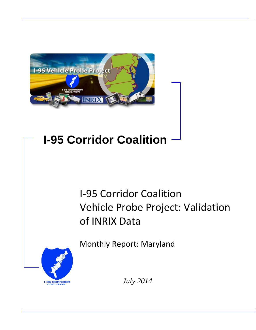

# **I-95 Corridor Coalition**

# I-95 Corridor Coalition Vehicle Probe Project: Validation of INRIX Data

Monthly Report: Maryland



*July 2014*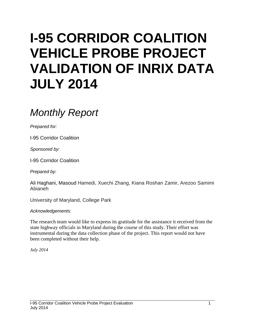# **I-95 CORRIDOR COALITION VEHICLE PROBE PROJECT VALIDATION OF INRIX DATA JULY 2014**

# *Monthly Report*

*Prepared for:*

I-95 Corridor Coalition

*Sponsored by:*

I-95 Corridor Coalition

*Prepared by:*

Ali Haghani, Masoud Hamedi, Xuechi Zhang, Kiana Roshan Zamir, Arezoo Samimi Abianeh

University of Maryland, College Park

*Acknowledgements:*

The research team would like to express its gratitude for the assistance it received from the state highway officials in Maryland during the course of this study. Their effort was instrumental during the data collection phase of the project. This report would not have been completed without their help.

*July 2014*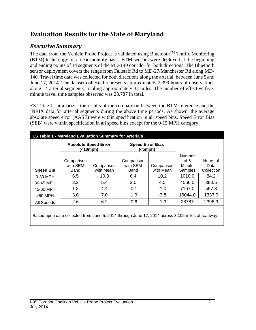## **Evaluation Results for the State of Maryland**

## *Executive Summary*

The data from the Vehicle Probe Project is validated using Bluetooth<sup>TM</sup> Traffic Monitoring (BTM) technology on a near monthly basis. BTM sensors were deployed at the beginning and ending points of 14 segments of the MD-140 corridor for both directions. The Bluetooth sensor deployment covers the range from Fallstaff Rd to MD-27/Manchester Rd along MD-140. Travel time data was collected for both directions along the arterial, between June 5 and June 17, 2014. The dataset collected represents approximately 2,399 hours of observations along 14 arterial segments, totaling approximately 32 miles. The number of effective fiveminute travel time samples observed was 28,787 in total.

ES Table 1 summarizes the results of the comparison between the BTM reference and the INRIX data for arterial segments during the above time periods. As shown, the average absolute speed error (AASE) were within specification in all speed bins. Speed Error Bias (SEB) were within specification in all speed bins except for the 0-15 MPH category.

|                  | <b>ES Table 1 - Maryland Evaluation Summary for Arterials</b> |                         |                                    |                         |                                       |                                |
|------------------|---------------------------------------------------------------|-------------------------|------------------------------------|-------------------------|---------------------------------------|--------------------------------|
|                  | <b>Absolute Speed Error</b><br>(<10mph)                       |                         | <b>Speed Error Bias</b><br>(<5mph) |                         |                                       |                                |
| <b>Speed Bin</b> | Comparison<br>with SEM<br>Band                                | Comparison<br>with Mean | Comparison<br>with SEM<br>Band     | Comparison<br>with Mean | Number<br>of $5$<br>Minute<br>Samples | Hours of<br>Data<br>Collection |
| 0-30 MPH         | 6.5                                                           | 10.3                    | 6.4                                | 10.2                    | 1010.0                                | 84.2                           |
| 30-45 MPH        | 2.2                                                           | 5.4                     | 2.0                                | 4.5                     | 4566.0                                | 380.5                          |
| 45-60 MPH        | 1.3                                                           | 4.4                     | $-0.1$                             | $-1.0$                  | 7167.0                                | 597.3                          |
| $>60$ MPH        | 3.0                                                           | 7.0                     | $-1.9$                             | $-3.8$                  | 16044.0                               | 1337.0                         |
| All Speeds       | 2.6                                                           | 6.2                     | $-0.6$                             | $-1.3$                  | 28787                                 | 2398.9                         |
|                  |                                                               |                         |                                    |                         |                                       |                                |

Based upon data collected from June 5, 2014 through June 17, 2014 across 32.05 miles of roadway.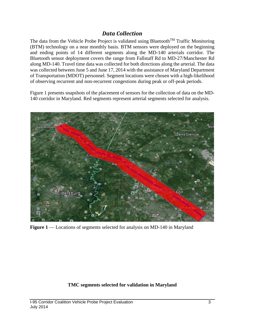### *Data Collection*

The data from the Vehicle Probe Project is validated using Bluetooth<sup>TM</sup> Traffic Monitoring (BTM) technology on a near monthly basis. BTM sensors were deployed on the beginning and ending points of 14 different segments along the MD-140 arterials corridor. The Bluetooth sensor deployment covers the range from Fallstaff Rd to MD-27/Manchester Rd along MD-140. Travel time data was collected for both directions along the arterial. The data was collected between June 5 and June 17, 2014 with the assistance of Maryland Department of Transportation (MDOT) personnel. Segment locations were chosen with a high-likelihood of observing recurrent and non-recurrent congestions during peak or off-peak periods.

Figure 1 presents snapshots of the placement of sensors for the collection of data on the MD-140 corridor in Maryland. Red segments represent arterial segments selected for analysis.



**Figure 1** –– Locations of segments selected for analysis on MD-140 in Maryland

#### **TMC segments selected for validation in Maryland**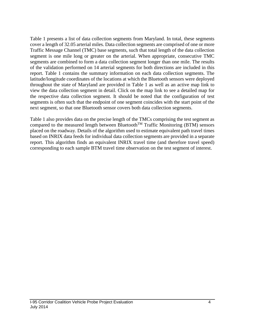Table 1 presents a list of data collection segments from Maryland. In total, these segments cover a length of 32.05 arterial miles. Data collection segments are comprised of one or more Traffic Message Channel (TMC) base segments, such that total length of the data collection segment is one mile long or greater on the arterial. When appropriate, consecutive TMC segments are combined to form a data collection segment longer than one mile. The results of the validation performed on 14 arterial segments for both directions are included in this report. Table 1 contains the summary information on each data collection segments. The latitude/longitude coordinates of the locations at which the Bluetooth sensors were deployed throughout the state of Maryland are provided in Table 1 as well as an active map link to view the data collection segment in detail. Click on the map link to see a detailed map for the respective data collection segment. It should be noted that the configuration of test segments is often such that the endpoint of one segment coincides with the start point of the next segment, so that one Bluetooth sensor covers both data collection segments.

Table 1 also provides data on the precise length of the TMCs comprising the test segment as compared to the measured length between Bluetooth<sup>TM</sup> Traffic Monitoring (BTM) sensors placed on the roadway. Details of the algorithm used to estimate equivalent path travel times based on INRIX data feeds for individual data collection segments are provided in a separate report. This algorithm finds an equivalent INRIX travel time (and therefore travel speed) corresponding to each sample BTM travel time observation on the test segment of interest.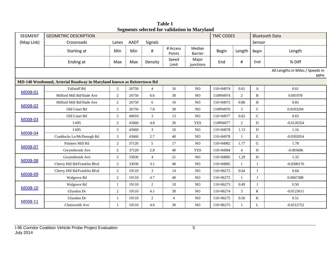| <b>SEGMENT</b> | <b>GEOMETRIC DESCRIPTION</b>                                           |                  |             |                |                    |                          | <b>TMC CODES</b> |                |              | <b>Bluetooth Data</b>                          |
|----------------|------------------------------------------------------------------------|------------------|-------------|----------------|--------------------|--------------------------|------------------|----------------|--------------|------------------------------------------------|
| (Map Link)     | Crossroads                                                             | Lanes            | <b>AADT</b> | Signals        |                    |                          |                  |                | Sensor       |                                                |
|                | Starting at                                                            | Min              | Min         | $\#$           | # Access<br>Points | Median<br><b>Barrier</b> | <b>Begin</b>     | Length         | Begin        | Length                                         |
|                | Ending at                                                              | Max              | Max         | Density        | Speed<br>Limit     | Major<br>junctions       | End              | $\#$           | End          | % Diff                                         |
|                |                                                                        |                  |             |                |                    |                          |                  |                |              | All Lengths in Miles / Speeds in<br><b>MPH</b> |
|                | MD-140 Westbound, Arterial Roadway in Maryland known as Reistertown Rd |                  |             |                |                    |                          |                  |                |              |                                                |
| MD08-01        | Fallstaff Rd                                                           | $\overline{2}$   | 26750       | $\overline{4}$ | 16                 | NO                       | 110+04974        | 0.61           | A            | 0.61                                           |
|                | Milford Mill Rd/Slade Ave                                              | $\overline{2}$   | 26750       | 6.6            | 30                 | N <sub>O</sub>           | 110P04974        | 2              | B            | 0.001978                                       |
|                | Milford Mill Rd/Slade Ave                                              | $\overline{2}$   | 26750       | 6              | 10                 | NO                       | 110+04975        | 0.86           | B            | 0.83                                           |
| MD08-02        | Old Court Rd                                                           | $\overline{c}$   | 26750       | 7.0            | 30                 | N <sub>O</sub>           | 110P04976        | 3              | ${\bf C}$    | 0.0293204                                      |
|                | Old Court Rd                                                           | $\overline{2}$   | 40810       | $\mathfrak{Z}$ | 13                 | NO                       | 110+04977        | 0.62           | $\mathsf{C}$ | 0.63                                           |
| MD08-03        | $I-695$                                                                | 3                | 43660       | 4.8            | 30                 | <b>YES</b>               | 110P04977        | $\overline{2}$ | D            | $-0.0126354$                                   |
|                | $I-695$                                                                | 3                | 43660       | 3              | 16                 | $\rm NO$                 | 110+04978        | 1.13           | D            | 1.16                                           |
| <b>MD08-04</b> | Craddocks Ln/McDonogh Rd                                               | 3                | 43660       | 2.7            | 40                 | $\rm NO$                 | 110+04978        | 1              | E            | $-0.0302054$                                   |
|                | Painters Mill Rd                                                       | 2                | 37120       | 5              | 17                 | NO                       | 110+04982        | 1.77           | ${\bf G}$    | 1.78                                           |
| MD08-07        | Gwynnbrook Ave                                                         | $\overline{2}$   | 37120       | 2.8            | 40                 | <b>YES</b>               | 110+04984        | $\overline{4}$ | H            | $-0.003686$                                    |
|                | Gwynnbrook Ave                                                         | 2                | 33030       | $\overline{4}$ | 21                 | $\rm NO$                 | 110+04985        | 1.29           | $\, {\rm H}$ | 1.33                                           |
| <b>MD08-08</b> | Cherry Hill Rd/Franklin Blvd                                           | $\boldsymbol{2}$ | 33030       | 3.1            | 40                 | $\rm NO$                 | 110+04985        | $\mathbf{1}$   | Ι            | $-0.0308176$                                   |
|                | Cherry Hill Rd/Franklin Blvd                                           | $\overline{2}$   | 19110       | $\mathfrak{Z}$ | 14                 | NO                       | 110+06272        | 0.64           | $\mathbf{I}$ | 0.64                                           |
| MD08-09        | Walgrove Rd                                                            | $\overline{2}$   | 19110       | 4.7            | 40                 | NO                       | 110+06272        | 1              | J            | 0.0067388                                      |
|                | Walgrove Rd                                                            | $\mathbf{1}$     | 19110       | $\overline{2}$ | 10                 | NO                       | 110+06273        | 0.49           | J            | 0.50                                           |
| MD08-10        | Glyndon Dr                                                             | 2                | 19110       | 4.1            | 30                 | NO                       | 110+06274        | 3              | K            | $-0.0123611$                                   |
|                | Glyndon Dr                                                             | -1               | 19110       | $\overline{2}$ | $\overline{4}$     | NO                       | 110+06275        | 0.50           | K            | 0.51                                           |
| MD08-11        | Chatsworth Ave                                                         | $\mathbf{1}$     | 19110       | 4.0            | 30                 | NO                       | 110+06275        | $\mathbf{1}$   | L            | $-0.0212752$                                   |

**Table 1 Segments selected for validation in Maryland**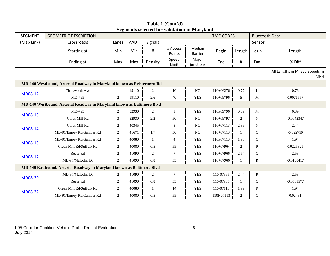| <b>SEGMENT</b> | <b>GEOMETRIC DESCRIPTION</b>                                           |                |             |                |                    |                    | <b>TMC CODES</b> |        |                | <b>Bluetooth Data</b>                          |
|----------------|------------------------------------------------------------------------|----------------|-------------|----------------|--------------------|--------------------|------------------|--------|----------------|------------------------------------------------|
| (Map Link)     | Crossroads                                                             | Lanes          | <b>AADT</b> | Signals        |                    |                    |                  |        | Sensor         |                                                |
|                | Starting at                                                            | Min            | Min         | $\sharp$       | # Access<br>Points | Median<br>Barrier  | <b>Begin</b>     | Length | Begin          | Length                                         |
|                | Ending at                                                              | Max            | Max         | Density        | Speed<br>Limit     | Major<br>junctions | End              | #      | End            | % Diff                                         |
|                |                                                                        |                |             |                |                    |                    |                  |        |                | All Lengths in Miles / Speeds in<br><b>MPH</b> |
|                | MD-140 Westbound, Arterial Roadway in Maryland known as Reistertown Rd |                |             |                |                    |                    |                  |        |                |                                                |
|                | Chatsworth Ave                                                         |                | 19110       | 2              | 10                 | NO.                | 110+06276        | 0.77   | L              | 0.76                                           |
| <b>MD08-12</b> | MD-795                                                                 | 2              | 19110       | 2.6            | 40                 | <b>YES</b>         | $110+09796$      | 5      | M              | 0.0076557                                      |
|                | MD-140 Westbound, Arterial Roadway in Maryland known as Baltimore Blvd |                |             |                |                    |                    |                  |        |                |                                                |
|                | MD-795                                                                 | 2              | 52930       | $\overline{c}$ | $\mathbf{1}$       | <b>YES</b>         | 110P09796        | 0.89   | M              | 0.89                                           |
| <b>MD08-13</b> | Gores Mill Rd                                                          | 3              | 52930       | 2.2            | 50                 | N <sub>O</sub>     | $110+09797$      | 2      | N              | $-0.0042347$                                   |
|                | Gores Mill Rd                                                          | 2              | 40345       | $\overline{4}$ | 8                  | NO.                | $110+07113$      | 2.39   | N              | 2.44                                           |
| <b>MD08-14</b> | MD-91/Emory Rd/Gamber Rd                                               | 2              | 41671       | 1.7            | 50                 | NO.                | 110+07113        | -1     | $\overline{O}$ | $-0.022719$                                    |
|                | MD-91/Emory Rd/Gamber Rd                                               | 2              | 40080       | $\mathbf{1}$   | $\overline{4}$     | <b>YES</b>         | 110P07113        | 1.98   | $\Omega$       | 1.94                                           |
| <b>MD08-15</b> | Green Mill Rd/Suffolk Rd                                               | 2              | 40080       | 0.5            | 55                 | <b>YES</b>         | 110+07964        | 2      | P              | 0.0225321                                      |
|                | Reese Rd                                                               | 2              | 41090       | 2              | $7\phantom{.0}$    | <b>YES</b>         | $110+07966$      | 2.54   | Q              | 2.58                                           |
| MD08-17        | MD-97/Malcolm Dr                                                       | $\overline{2}$ | 41090       | 0.8            | 55                 | <b>YES</b>         | 110+07966        |        | R              | $-0.0138417$                                   |
|                | MD-140 Eastbound, Arterial Roadway in Maryland known as Baltimore Blvd |                |             |                |                    |                    |                  |        |                |                                                |
|                | MD-97/Malcolm Dr                                                       | 2              | 41090       | $\overline{2}$ | $7\phantom{.0}$    | <b>YES</b>         | 110-07965        | 2.44   | $\mathbb{R}$   | 2.58                                           |
| <b>MD08-20</b> | Reese Rd                                                               | $\overline{2}$ | 41090       | 0.8            | 55                 | <b>YES</b>         | 110-07965        | -1     | Q              | $-0.0561577$                                   |
|                | Green Mill Rd/Suffolk Rd                                               | 2              | 40080       | $\mathbf{1}$   | 14                 | <b>YES</b>         | 110-07113        | 1.99   | P              | 1.94                                           |
| <b>MD08-22</b> | MD-91/Emory Rd/Gamber Rd                                               | 2              | 40080       | 0.5            | 55                 | <b>YES</b>         | 110N07113        | 2      | $\mathbf{O}$   | 0.02481                                        |

**Table 1 (Cont'd) Segments selected for validation in Maryland**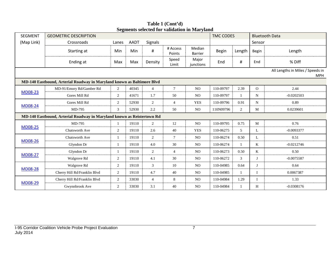| <b>SEGMENT</b> | <b>GEOMETRIC DESCRIPTION</b>                                           |                |             |                |                    | эсдисны эсісски тог танаанон ін ілагунию | <b>TMC CODES</b> |                |                | <b>Bluetooth Data</b>                          |
|----------------|------------------------------------------------------------------------|----------------|-------------|----------------|--------------------|------------------------------------------|------------------|----------------|----------------|------------------------------------------------|
| (Map Link)     | Crossroads                                                             | Lanes          | <b>AADT</b> | <b>Signals</b> |                    |                                          |                  |                | Sensor         |                                                |
|                | Starting at                                                            | Min            | Min         | #              | # Access<br>Points | Median<br><b>Barrier</b>                 | Begin            | Length         | Begin          | Length                                         |
|                | Ending at                                                              | Max            | Max         | Density        | Speed<br>Limit     | Major<br>junctions                       | End              | $\#$           | End            | % Diff                                         |
|                |                                                                        |                |             |                |                    |                                          |                  |                |                | All Lengths in Miles / Speeds in<br><b>MPH</b> |
|                | MD-140 Eastbound, Arterial Roadway in Maryland known as Baltimore Blvd |                |             |                |                    |                                          |                  |                |                |                                                |
|                | MD-91/Emory Rd/Gamber Rd                                               | $\overline{2}$ | 40345       | $\overline{4}$ | $\tau$             | <b>NO</b>                                | 110-09797        | 2.39           | $\overline{O}$ | 2.44                                           |
| <b>MD08-23</b> | Gores Mill Rd                                                          | $\overline{2}$ | 41671       | 1.7            | 50                 | <b>NO</b>                                | 110-09797        | 1              | N              | $-0.0202503$                                   |
|                | Gores Mill Rd                                                          | $\overline{2}$ | 52930       | $\overline{2}$ | $\overline{4}$     | <b>YES</b>                               | 110-09796        | 0.91           | $\mathbf N$    | 0.89                                           |
| <b>MD08-24</b> | MD-795                                                                 | 3              | 52930       | 2.2            | 50                 | N <sub>O</sub>                           | 110N09796        | $\overline{2}$ | М              | 0.0239601                                      |
|                | MD-140 Eastbound, Arterial Roadway in Maryland known as Reistertown Rd |                |             |                |                    |                                          |                  |                |                |                                                |
|                | MD-795                                                                 |                | 19110       | 2              | 12                 | NO.                                      | 110-09795        | 0.75           | M              | 0.76                                           |
| <b>MD08-25</b> | Chatsworth Ave                                                         | $\overline{2}$ | 19110       | 2.6            | 40                 | <b>YES</b>                               | 110-06275        | 5              | L              | $-0.0093377$                                   |
|                | Chatsworth Ave                                                         | 1              | 19110       | $\overline{2}$ | $\tau$             | NO                                       | 110-06274        | 0.50           | L              | 0.51                                           |
| <b>MD08-26</b> | Glyndon Dr                                                             | -1             | 19110       | 4.0            | 30                 | NO                                       | 110-06274        | $\mathbf{1}$   | K              | $-0.0212746$                                   |
|                | Glyndon Dr                                                             | 1              | 19110       | $\overline{2}$ | $\overline{4}$     | NO.                                      | 110-06273        | 0.50           | K              | 0.50                                           |
| <b>MD08-27</b> | Walgrove Rd                                                            | $\overline{2}$ | 19110       | 4.1            | 30                 | $_{\rm NO}$                              | 110-06272        | 3              | J              | $-0.0075587$                                   |
|                | Walgrove Rd                                                            | 2              | 19110       | 3              | 10                 | NO                                       | 110-04985        | 0.64           | J              | 0.64                                           |
| <b>MD08-28</b> | Cherry Hill Rd/Franklin Blvd                                           | $\overline{2}$ | 19110       | 4.7            | 40                 | NO                                       | 110-04985        | 1              |                | 0.0067387                                      |
|                | Cherry Hill Rd/Franklin Blvd                                           | $\overline{2}$ | 33030       | $\overline{4}$ | 8                  | NO.                                      | 110-04984        | 1.29           |                | 1.33                                           |
| <b>MD08-29</b> | Gwynnbrook Ave                                                         | 2              | 33030       | 3.1            | 40                 | NO                                       | 110-04984        | $\mathbf{1}$   | H              | $-0.0308176$                                   |

**Table 1 (Cont'd) Segments selected for validation in Maryland**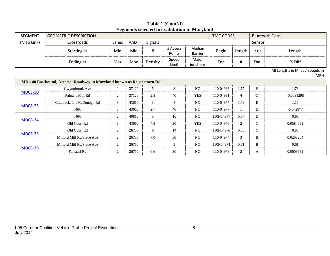| <b>SEGMENT</b> | <b>GEOMETRIC DESCRIPTION</b>                                           |                |             |                |                    | редикив внени юг танчанон нглан упана | <b>TMC CODES</b> |                |               | <b>Bluetooth Data</b>                          |
|----------------|------------------------------------------------------------------------|----------------|-------------|----------------|--------------------|---------------------------------------|------------------|----------------|---------------|------------------------------------------------|
|                |                                                                        |                |             |                |                    |                                       |                  |                | Sensor        |                                                |
| (Map Link)     | Crossroads                                                             | Lanes          | <b>AADT</b> | Signals        |                    |                                       |                  |                |               |                                                |
|                | Starting at                                                            | Min            | Min         | $\sharp$       | # Access<br>Points | Median<br><b>Barrier</b>              | <b>Begin</b>     | Length         | Begin         | Length                                         |
|                | Ending at                                                              | Max            | Max         | Density        | Speed<br>Limit     | Major<br>junctions                    | End              | #              | End           | % Diff                                         |
|                |                                                                        |                |             |                |                    |                                       |                  |                |               | All Lengths in Miles / Speeds in<br><b>MPH</b> |
|                | MD-140 Eastbound, Arterial Roadway in Maryland known as Reistertown Rd |                |             |                |                    |                                       |                  |                |               |                                                |
| <b>MD08-30</b> | Gwynnbrook Ave                                                         | $\overline{2}$ | 37120       | 5              | 8                  | NO.                                   | 110-04983        | 1.77           | H             | 1.78                                           |
|                | Painters Mill Rd                                                       | $\overline{2}$ | 37120       | 2.8            | 40                 | <b>YES</b>                            | 110-04981        | $\overline{4}$ | G             | $-0.0038298$                                   |
|                | Craddocks Ln/McDonogh Rd                                               | 3              | 43660       | 3              | 8                  | NO.                                   | 110-04977        | 1.08           | E             | 1.16                                           |
| MD08-33        | $I-695$                                                                | 3              | 43660       | 2.7            | 40                 | N <sub>O</sub>                        | 110-04977        |                | D             | $-0.072877$                                    |
|                | $I-695$                                                                | 2              | 40810       | 3              | 10                 | NO.                                   | 110N04977        | 0.67           | D             | 0.63                                           |
| <b>MD08-34</b> | Old Court Rd                                                           | 3              | 43660       | 4.8            | 30                 | <b>YES</b>                            | 110-04976        | 2              | $\mathsf{C}$  | 0.0584691                                      |
|                | Old Court Rd                                                           | $\overline{2}$ | 26750       | 6              | 14                 | NO.                                   | 110N04976        | 0.86           | $\mathcal{C}$ | 0.83                                           |
| <b>MD08-35</b> | Milford Mill Rd/Slade Ave                                              | 2              | 26750       | 7.0            | 30                 | NO.                                   | 110-04974        | 3              | B             | 0.0293204                                      |
|                | Milford Mill Rd/Slade Ave                                              | 2              | 26750       | $\overline{4}$ | 9                  | N <sub>O</sub>                        | 110N04974        | 0.61           | B             | 0.61                                           |
| <b>MD08-36</b> | <b>Fallstaff Rd</b>                                                    | 2              | 26750       | 6.6            | 30                 | N <sub>O</sub>                        | 110-04973        | 2              | A             | 0.0009532                                      |

**Table 1 (Cont'd) Segments selected for validation in Maryland**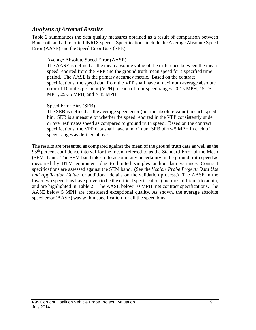### *Analysis of Arterial Results*

Table 2 summarizes the data quality measures obtained as a result of comparison between Bluetooth and all reported INRIX speeds. Specifications include the Average Absolute Speed Error (AASE) and the Speed Error Bias (SEB).

#### Average Absolute Speed Error (AASE)

The AASE is defined as the mean absolute value of the difference between the mean speed reported from the VPP and the ground truth mean speed for a specified time period. The AASE is the primary accuracy metric. Based on the contract specifications, the speed data from the VPP shall have a maximum average absolute error of 10 miles per hour (MPH) in each of four speed ranges: 0-15 MPH, 15-25 MPH, 25-35 MPH, and > 35 MPH.

#### Speed Error Bias (SEB)

The SEB is defined as the average speed error (not the absolute value) in each speed bin. SEB is a measure of whether the speed reported in the VPP consistently under or over estimates speed as compared to ground truth speed. Based on the contract specifications, the VPP data shall have a maximum SEB of  $+/-$  5 MPH in each of speed ranges as defined above.

The results are presented as compared against the mean of the ground truth data as well as the 95<sup>th</sup> percent confidence interval for the mean, referred to as the Standard Error of the Mean (SEM) band. The SEM band takes into account any uncertainty in the ground truth speed as measured by BTM equipment due to limited samples and/or data variance. Contract specifications are assessed against the SEM band. (See the *Vehicle Probe Project: Data Use and Application Guide* for additional details on the validation process.) The AASE in the lower two speed bins have proven to be the critical specification (and most difficult) to attain, and are highlighted in Table 2. The AASE below 10 MPH met contract specifications. The AASE below 5 MPH are considered exceptional quality. As shown, the average absolute speed error (AASE) was within specification for all the speed bins.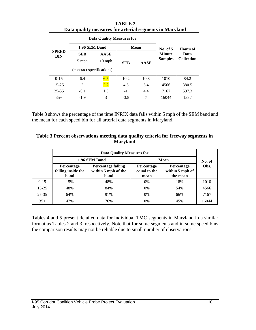|                            | Data quality measures for arterial segments in Maryland |                                  |            |             |                |                   |  |
|----------------------------|---------------------------------------------------------|----------------------------------|------------|-------------|----------------|-------------------|--|
|                            |                                                         | <b>Data Quality Measures for</b> |            |             |                | Hours of          |  |
|                            | 1.96 SEM Band                                           |                                  |            | <b>Mean</b> | No. of 5       |                   |  |
| <b>SPEED</b><br><b>BIN</b> | <b>SEB</b>                                              | <b>AASE</b>                      |            |             | <b>Minute</b>  | Data              |  |
|                            | 5 mph                                                   | $10$ mph                         | <b>SEB</b> | <b>AASE</b> | <b>Samples</b> | <b>Collection</b> |  |
|                            | (contract specifications)                               |                                  |            |             |                |                   |  |
| $0 - 15$                   | 6.4                                                     | 6.5                              | 10.2       | 10.3        | 1010           | 84.2              |  |
| $15 - 25$                  | 2                                                       | 2.2                              | 4.5        | 5.4         | 4566           | 380.5             |  |
| $25 - 35$                  | $-0.1$                                                  | 1.3                              | $-1$       | 4.4         | 7167           | 597.3             |  |
| $35+$                      | $-1.9$                                                  | 3                                | $-3.8$     | 7           | 16044          | 1337              |  |

**TABLE 2 Data quality measures for arterial segments in Maryland**

Table 3 shows the percentage of the time INRIX data falls within 5 mph of the SEM band and the mean for each speed bin for all arterial data segments in Maryland.

| Table 3 Percent observations meeting data quality criteria for freeway segments in |
|------------------------------------------------------------------------------------|
| <b>Maryland</b>                                                                    |

|           |                                                 | <b>Data Quality Measures for</b>                         |                                           |                                                  |        |
|-----------|-------------------------------------------------|----------------------------------------------------------|-------------------------------------------|--------------------------------------------------|--------|
|           |                                                 | 1.96 SEM Band                                            |                                           | Mean                                             | No. of |
|           | <b>Percentage</b><br>falling inside the<br>band | <b>Percentage falling</b><br>within 5 mph of the<br>band | <b>Percentage</b><br>equal to the<br>mean | <b>Percentage</b><br>within 5 mph of<br>the mean | Obs.   |
| $0 - 15$  | 15%                                             | 48%                                                      | 0%                                        | 18%                                              | 1010   |
| $15 - 25$ | 48%                                             | 84%                                                      | $0\%$                                     | 54%                                              | 4566   |
| $25 - 35$ | 64%                                             | 91%                                                      | $0\%$                                     | 66%                                              | 7167   |
| $35+$     | 47%                                             | 76%                                                      | 0%                                        | 45%                                              | 16044  |

Tables 4 and 5 present detailed data for individual TMC segments in Maryland in a similar format as Tables 2 and 3, respectively. Note that for some segments and in some speed bins the comparison results may not be reliable due to small number of observations.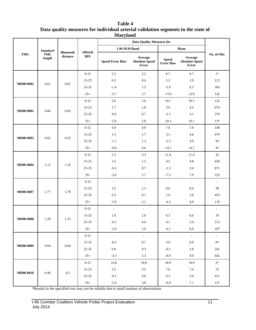#### **Table 4 Data quality measures for individual arterial validation segments in the state of Maryland**

|                  |                              |                              |                            |                         | <b>Data Quality Measures for</b>                 |                                   |                                                  |                             |        |     |    |
|------------------|------------------------------|------------------------------|----------------------------|-------------------------|--------------------------------------------------|-----------------------------------|--------------------------------------------------|-----------------------------|--------|-----|----|
|                  | <b>Standard</b>              |                              |                            | 1.96 SEM Band           |                                                  |                                   | Mean                                             |                             |        |     |    |
| <b>TMC</b>       | <b>TMC</b><br>length         | <b>Bluetooth</b><br>distance | <b>SPEED</b><br><b>BIN</b> | <b>Speed Error Bias</b> | Average<br><b>Absolute Speed</b><br><b>Error</b> | <b>Speed</b><br><b>Error Bias</b> | Average<br><b>Absolute Speed</b><br><b>Error</b> | No. of Obs.                 |        |     |    |
|                  |                              |                              | $0 - 15$                   | 5.2                     | 5.2                                              | 6.7                               | 6.7                                              | $1*$                        |        |     |    |
|                  |                              |                              | $15 - 25$                  | 0.3                     | 0.4                                              | 1.2                               | 2.9                                              | 115                         |        |     |    |
| <b>MD08-0001</b> | 0.61                         | 0.61                         | $25 - 35$                  | $-1.4$                  | 1.5                                              | $-5.9$                            | 6.3                                              | 363                         |        |     |    |
|                  |                              |                              | $35+$                      | $-5.7$                  | 5.7                                              | $-13.9$                           | 13.9                                             | 126                         |        |     |    |
|                  |                              |                              | $0 - 15$                   | 5.6                     | 5.6                                              | 10.1                              | 10.1                                             | 122                         |        |     |    |
|                  |                              |                              | $15 - 25$                  | 1.7                     | 1.8                                              | 3.9                               | 4.4                                              | 674                         |        |     |    |
| <b>MD08-0002</b> | 0.86                         | 0.83                         | $25 - 35$                  | $-0.6$                  | 0.7                                              | $-2.1$                            | 3.1                                              | 210                         |        |     |    |
|                  |                              |                              | $35+$                      | $-5.0$                  | 5.0                                              | $-10.1$                           | 10.1                                             | $13*$                       |        |     |    |
|                  |                              |                              | $0 - 15$                   | 4.9                     | 4.9                                              | 7.8                               | 7.9                                              | 338                         |        |     |    |
|                  |                              |                              | $15 - 25$                  | 1.3                     | 1.7                                              | 3.1                               | 4.8                                              | 679                         |        |     |    |
| MD08-0003        |                              |                              | 0.62                       | 0.63                    |                                                  | $25 - 35$                         | $-1.1$                                           | 1.3                         | $-2.5$ | 4.9 | 93 |
|                  |                              |                              | $35+$                      | $-9.6$                  | 9.6                                              | $-14.7$                           | 14.7                                             | $4*$                        |        |     |    |
|                  |                              |                              | $0 - 15$                   | 5.3                     | 5.3                                              | 11.4                              | 11.4                                             | 42                          |        |     |    |
|                  |                              |                              | $15 - 25$                  | 1.5                     | 1.5                                              | 4.5                               | 4.8                                              | 458                         |        |     |    |
| MD08-0004        | 1.13                         | 1.16                         | 25-35                      | $-0.1$                  | $0.7\,$                                          | $-1.3$                            | 3.6                                              | 871                         |        |     |    |
|                  |                              |                              | $35+$                      | $-3.6$                  | 3.7                                              | $-7.5$                            | 7.9                                              | 222                         |        |     |    |
|                  |                              |                              | $0 - 15$                   | $\mathbb{L}$            | $\mathcal{L}$                                    | $\mathbb{L}$                      | $\omega$                                         | $\mathbb{L}$                |        |     |    |
|                  |                              |                              | $15 - 25$                  | 2.5                     | 2.5                                              | 8.6                               | 8.6                                              | 39                          |        |     |    |
| MD08-0007        | 1.77                         | 1.78                         | 25-35                      | 0.3                     | $0.7\,$                                          | 1.0                               | 2.8                                              | 453                         |        |     |    |
|                  |                              |                              | $35+$                      | $-2.0$                  | 2.1                                              | $-4.5$                            | 4.8                                              | 110                         |        |     |    |
|                  |                              |                              | $0 - 15$                   | $\mathbb{L}^2$          | $\omega$                                         | $\mathcal{L}_{\mathcal{A}}$       | $\overline{\phantom{a}}$                         | $\mathcal{L}_{\mathcal{A}}$ |        |     |    |
|                  |                              |                              | $15 - 25$                  | 1.9                     | 2.0                                              | 6.3                               | 6.6                                              | 33                          |        |     |    |
| MD08-0008        | 1.29                         | 1.33                         | 25-35                      | $-0.1$                  | 0.6                                              | 0.1                               | 2.9                                              | 213                         |        |     |    |
|                  |                              |                              | $35+$                      | $-2.9$                  | 2.9                                              | $-6.7$                            | 6.8                                              | 107                         |        |     |    |
|                  |                              |                              | $0 - 15$                   | $\mathbb{Z}^2$          | $\omega_{\rm c}$                                 | $\omega_{\rm c}$                  | $\omega_{\rm c}$                                 | $\mathcal{L}_{\mathcal{C}}$ |        |     |    |
|                  |                              |                              | $15 - 25$                  | $-0.5$                  | $0.7\,$                                          | 5.0                               | 6.8                                              | $8\ast$                     |        |     |    |
| MD08-0009        | 0.64<br>0.64                 | $25 - 35$                    | $0.0\,$                    | $0.3\,$                 | $-0.1$                                           | 2.8                               | 241                                              |                             |        |     |    |
|                  |                              |                              | $35+$                      | $-3.3$                  | 3.3                                              | $-8.9$                            | 9.0                                              | 642                         |        |     |    |
|                  |                              |                              | $0 - 15$                   | 14.8                    | 14.8                                             | 18.9                              | 18.9                                             | $2*$                        |        |     |    |
|                  | MD08-0010<br>0.49<br>$0.5\,$ | $15 - 25$                    | $2.5\,$                    | $2.5\,$                 | 7.6                                              | 7.6                               | 53                                               |                             |        |     |    |
|                  |                              |                              |                            | $25 - 35$               | $-0.1$                                           | $0.6\,$                           | 0.3                                              | $3.0\,$                     | 411    |     |    |
|                  |                              |                              | $35+$                      | $-2.9$                  | $3.0\,$                                          | $-6.9$                            | 7.1                                              | 137                         |        |     |    |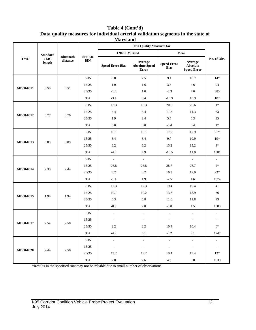**Table 4 (Cont'd) Data quality measures for individual arterial validation segments in the state of Maryland**

|                  |                      |                              |                            |                          | <b>Data Quality Measures for</b>                 |                                   |                                                  |                          |      |       |
|------------------|----------------------|------------------------------|----------------------------|--------------------------|--------------------------------------------------|-----------------------------------|--------------------------------------------------|--------------------------|------|-------|
|                  | <b>Standard</b>      |                              |                            | 1.96 SEM Band            |                                                  |                                   | Mean                                             |                          |      |       |
| <b>TMC</b>       | <b>TMC</b><br>length | <b>Bluetooth</b><br>distance | <b>SPEED</b><br><b>BIN</b> | <b>Speed Error Bias</b>  | Average<br><b>Absolute Speed</b><br><b>Error</b> | <b>Speed Error</b><br><b>Bias</b> | Average<br><b>Absolute</b><br><b>Speed Error</b> | No. of Obs.              |      |       |
|                  |                      |                              | $0 - 15$                   | 6.8                      | $7.5\,$                                          | 9.4                               | 10.7                                             | $14*$                    |      |       |
|                  |                      |                              | $15 - 25$                  | 1.0                      | 1.6                                              | 3.5                               | 4.6                                              | 94                       |      |       |
| MD08-0011        | 0.50                 | 0.51                         | $25 - 35$                  | $-1.0$                   | 1.0                                              | $-3.3$                            | 4.0                                              | 383                      |      |       |
|                  |                      |                              | $35+$                      | $-3.4$                   | 3.4                                              | $-10.9$                           | 10.9                                             | 107                      |      |       |
|                  |                      |                              | $0 - 15$                   | 13.3                     | 13.3                                             | 20.6                              | 20.6                                             | $1*$                     |      |       |
|                  |                      |                              | $15 - 25$                  | 5.4                      | 5.4                                              | 11.3                              | 11.3                                             | 33                       |      |       |
| MD08-0012        | 0.77                 | 0.76                         | 25-35                      | 1.9                      | 2.4                                              | 5.5                               | 6.3                                              | 35                       |      |       |
|                  |                      |                              | $35+$                      | 0.0                      | $0.0\,$                                          | $-0.4$                            | 0.4                                              | $1*$                     |      |       |
|                  |                      |                              | $0 - 15$                   | 16.1                     | 16.1                                             | 17.9                              | 17.9                                             | $21*$                    |      |       |
| MD08-0013        |                      | 0.89                         | $15 - 25$                  | 8.4                      | 8.4                                              | 9.7                               | 10.9                                             | $19*$                    |      |       |
|                  | 0.89                 |                              | 25-35                      | 6.2                      | 6.2                                              | 15.2                              | 15.2                                             | $9*$                     |      |       |
|                  |                      |                              | $35+$                      | $-4.8$                   | 4.9                                              | $-10.5$                           | 11.0                                             | 1581                     |      |       |
|                  |                      |                              | $0 - 15$                   | $\overline{\phantom{a}}$ | $\omega$                                         | $\overline{\phantom{a}}$          | $\overline{\phantom{a}}$                         | $\overline{\phantom{a}}$ |      |       |
|                  |                      |                              | $15 - 25$                  | 26.8                     | 26.8                                             | 28.7                              | 28.7                                             | $2*$                     |      |       |
| MD08-0014        | 2.39                 | 2.44                         |                            |                          | $25 - 35$                                        | 3.2                               | 3.2                                              | 16.9                     | 17.0 | $23*$ |
|                  |                      |                              | $35+$                      | $-1.4$                   | 1.9                                              | $-2.5$                            | 4.6                                              | 1874                     |      |       |
|                  |                      |                              | $0 - 15$                   | 17.3                     | 17.3                                             | 19.4                              | 19.4                                             | 41                       |      |       |
|                  |                      |                              | $15 - 25$                  | 10.1                     | 10.2                                             | 13.8                              | 13.9                                             | 86                       |      |       |
| <b>MD08-0015</b> | 1.98                 | 1.94                         | $25 - 35$                  | 5.3                      | 5.8                                              | 11.0                              | 11.8                                             | 93                       |      |       |
|                  |                      |                              | $35+$                      | $-0.5$                   | 2.0                                              | $-0.8$                            | 4.5                                              | 1580                     |      |       |
|                  |                      |                              | $0 - 15$                   | $\overline{\phantom{a}}$ | $\overline{\phantom{a}}$                         | $\overline{\phantom{a}}$          | $\overline{\phantom{a}}$                         | ÷,                       |      |       |
|                  |                      |                              | $15 - 25$                  | $\overline{\phantom{a}}$ | $\overline{\phantom{a}}$                         | $\overline{a}$                    | $\overline{\phantom{a}}$                         | $\overline{a}$           |      |       |
| MD08-0017        | 2.54                 | 2.58                         | 25-35                      | 2.2                      | 2.2                                              | 10.4                              | 10.4                                             | $6*$                     |      |       |
|                  |                      |                              | $35+$                      | $-4.9$                   | 5.1                                              | $-8.2$                            | 9.1                                              | 1747                     |      |       |
|                  |                      |                              | $0 - 15$                   | $\overline{\phantom{a}}$ | $\mathbb{Z}^d$                                   | $\overline{\phantom{a}}$          | ÷.                                               | $\overline{\phantom{a}}$ |      |       |
|                  |                      |                              | 15-25                      | $\overline{\phantom{a}}$ | $\overline{\phantom{a}}$                         | $\overline{\phantom{a}}$          | $\sim$                                           | $\overline{\phantom{a}}$ |      |       |
| MD08-0020        | 2.44<br>2.58         | $25 - 35$                    | 13.2                       | 13.2                     | 19.4                                             | 19.4                              | $13*$                                            |                          |      |       |
|                  |                      |                              | $35+$                      | $2.0\,$                  | $2.6\,$                                          | $4.8\,$                           | 6.8                                              | 1638                     |      |       |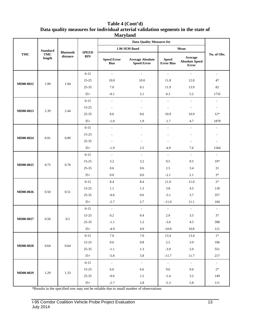#### **Table 4 (Cont'd) Data quality measures for individual arterial validation segments in the state of Maryland**

|           |                           |                  |              | $\overline{\phantom{a}}$          |                                               |                                   |                                           |                          |
|-----------|---------------------------|------------------|--------------|-----------------------------------|-----------------------------------------------|-----------------------------------|-------------------------------------------|--------------------------|
|           |                           |                  |              |                                   | <b>Data Quality Measures for</b>              |                                   |                                           |                          |
|           | <b>Standard</b>           | <b>Bluetooth</b> | <b>SPEED</b> |                                   | 1.96 SEM Band                                 |                                   | Mean                                      |                          |
| TMC       | TMC<br>length             | distance         | <b>BIN</b>   | <b>Speed Error</b><br><b>Bias</b> | <b>Average Absolute</b><br><b>Speed Error</b> | <b>Speed</b><br><b>Error Bias</b> | Average<br><b>Absolute Speed</b><br>Error | No. of Obs.              |
|           |                           |                  | $0 - 15$     | $\mathcal{L}_{\mathcal{A}}$       | $\sim$                                        | $\mathcal{L}_{\mathcal{A}}$       | $\omega$                                  | $\overline{\phantom{a}}$ |
|           |                           |                  | $15 - 25$    | 10.0                              | $10.0\,$                                      | 11.8                              | 12.0                                      | 47                       |
| MD08-0022 | 1.99                      | 1.94             | 25-35        | $7.0\,$                           | 8.1                                           | 11.9                              | 13.9                                      | 82                       |
|           |                           |                  | $35+$        | $-0.1$                            | 2.1                                           | 0.3                               | 5.2                                       | 1735                     |
|           |                           |                  | $0 - 15$     | $\overline{\phantom{a}}$          | $\overline{\phantom{a}}$                      | $\sim$                            | $\mathcal{L}_{\mathcal{A}}$               | $\overline{\phantom{a}}$ |
|           |                           |                  | $15 - 25$    | $\overline{\phantom{a}}$          | $\overline{\phantom{a}}$                      | $\overline{\phantom{a}}$          | $\overline{\phantom{a}}$                  | $\overline{\phantom{a}}$ |
| MD08-0023 | 2.39                      | 2.44             | 25-35        | 8.6                               | 8.6                                           | 10.9                              | 10.9                                      | $12*$                    |
|           |                           |                  | $35+$        | $-1.0$                            | 1.9                                           | $-1.7$                            | 4.7                                       | 1879                     |
|           |                           |                  | $0 - 15$     | $\overline{\phantom{a}}$          | $\overline{\phantom{a}}$                      | $\blacksquare$                    | $\overline{\phantom{a}}$                  | $\overline{\phantom{a}}$ |
|           |                           |                  | $15 - 25$    |                                   | $\overline{a}$                                | $\overline{a}$                    | $\overline{\phantom{a}}$                  |                          |
| MD08-0024 | 0.91                      | 0.89             | 25-35        | $\overline{a}$                    | $\overline{a}$                                | $\overline{\phantom{a}}$          | $\overline{\phantom{a}}$                  | $\overline{\phantom{a}}$ |
|           |                           |                  | $35+$        | $-1.9$                            | 2.5                                           | $-4.9$                            | 7.6                                       | 1564                     |
|           |                           |                  | $0 - 15$     | $\overline{\phantom{a}}$          | $\blacksquare$                                | $\blacksquare$                    | $\sim$                                    | $\overline{\phantom{a}}$ |
|           |                           |                  | $15 - 25$    | 3.2                               | 3.2                                           | 9.5                               | 9.5                                       | $19*$                    |
| MD08-0025 | 0.75                      | 0.76             | 25-35        | 0.6                               | 0.6                                           | 2.5                               | 3.4                                       | 31                       |
|           |                           |                  | $35+$        | 0.0                               | 0.0                                           | $-2.1$                            | 2.1                                       | $3*$                     |
|           |                           |                  | $0 - 15$     | 8.4                               | 8.4                                           | 11.0                              | 11.0                                      | $2^\ast$                 |
|           |                           |                  | $15 - 25$    | 1.1                               | 1.3                                           | 3.8                               | $4.5\,$                                   | 118                      |
| MD08-0026 | 0.50                      | 0.51             | 25-35        | $-0.6$                            | 0.6                                           | $-3.1$                            | 3.7                                       | 357                      |
|           |                           |                  | $35+$        | $-2.7$                            | 2.7                                           | $-11.0$                           | 11.1                                      | 104                      |
|           |                           |                  | $0 - 15$     | $\sim$                            | $\overline{\phantom{a}}$                      | $\mathcal{L}_{\mathcal{A}}$       | $\sim$                                    | $\overline{\phantom{a}}$ |
| MD08-0027 | 0.50                      | 0.5              | $15 - 25$    | $0.2\,$                           | 0.4                                           | 2.9                               | 3.5                                       | 37                       |
|           |                           |                  | 25-35        | $-1.1$                            | 1.2                                           | $-3.6$                            | 4.5                                       | 398                      |
|           |                           |                  | $35+$        | $-4.9$                            | 4.9                                           | $-10.8$                           | $10.8\,$                                  | 121                      |
|           |                           |                  | $0 - 15$     | 7.0                               | $7.0\,$                                       | 13.4                              | 13.4                                      | $1^\ast$                 |
| MD08-0028 | 0.64                      | 0.64             | $15 - 25$    | $0.6\,$                           | $\rm 0.8$                                     | $2.5\,$                           | 3.9                                       | 106                      |
|           |                           |                  | $25 - 35$    | $\text{-}1.1$                     | 1.3                                           | $-3.9$                            | $5.0\,$                                   | 551                      |
|           |                           |                  | $35+$        | $-5.8$                            | 5.8                                           | $-11.7$                           | 11.7                                      | 217                      |
|           |                           |                  | $0 - 15$     | $\omega_{\rm c}$                  | $\omega_{\rm c}$                              | $\omega_{\rm c}$                  | $\omega_{\rm c}$                          | $\sim$                   |
|           |                           |                  | $15 - 25$    | 6.6                               | 6.6                                           | 9.6                               | 9.6                                       | $2*$                     |
|           | MD08-0029<br>1.29<br>1.33 |                  | $25 - 35$    | $-0.6$                            | 1.2                                           | $-1.4$                            | $3.2\,$                                   | 149                      |
|           |                           |                  | $35+$        | $-2.7$                            | $2.8\,$                                       | $-5.3$                            | 5.8                                       | $111\,$                  |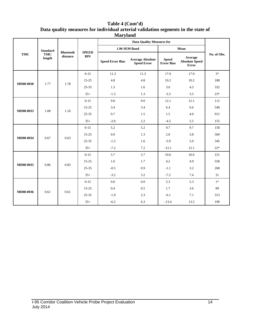#### **Table 4 (Cont'd) Data quality measures for individual arterial validation segments in the state of Maryland**

|            |                      |                              |                            |                         | <b>Data Quality Measures for</b>              |                            |                                                  |             |     |     |     |     |  |  |  |           |
|------------|----------------------|------------------------------|----------------------------|-------------------------|-----------------------------------------------|----------------------------|--------------------------------------------------|-------------|-----|-----|-----|-----|--|--|--|-----------|
|            | <b>Standard</b>      |                              |                            |                         | 1.96 SEM Band                                 |                            | Mean                                             |             |     |     |     |     |  |  |  |           |
| <b>TMC</b> | <b>TMC</b><br>length | <b>Bluetooth</b><br>distance | <b>SPEED</b><br><b>BIN</b> | <b>Speed Error Bias</b> | <b>Average Absolute</b><br><b>Speed Error</b> | <b>Speed</b><br>Error Bias | Average<br><b>Absolute Speed</b><br><b>Error</b> | No. of Obs. |     |     |     |     |  |  |  |           |
|            |                      |                              | $0 - 15$                   | 11.3                    | 11.3                                          | 17.0                       | 17.0                                             | $3*$        |     |     |     |     |  |  |  |           |
| MD08-0030  | 1.77                 | 1.78                         | $15 - 25$                  | 4.8                     | 4.8                                           | 10.2                       | 10.2                                             | 188         |     |     |     |     |  |  |  |           |
|            |                      |                              | $25 - 35$                  | 1.3                     | 1.6                                           | 3.6                        | 4.5                                              | 332         |     |     |     |     |  |  |  |           |
|            |                      |                              | $35+$                      | $-1.3$                  | 1.3                                           | $-3.3$                     | 3.5                                              | $23*$       |     |     |     |     |  |  |  |           |
|            |                      |                              | $0 - 15$                   | 9.0                     | 9.0                                           | 12.1                       | 12.1                                             | 112         |     |     |     |     |  |  |  |           |
| MD08-0033  | 1.08                 | 1.16                         | $15 - 25$                  | 3.4                     | 3.4                                           | 6.4                        | 6.6                                              | 540         |     |     |     |     |  |  |  |           |
|            |                      |                              | $25 - 35$                  | 0.7                     | 1.5                                           | 1.5                        | $4.0\,$                                          | 912         |     |     |     |     |  |  |  |           |
|            |                      |                              | $35+$                      | $-2.0$                  | 2.2                                           | $-4.5$                     | 5.5                                              | 155         |     |     |     |     |  |  |  |           |
|            |                      |                              | $0 - 15$                   | 5.2                     | 5.2                                           | 9.7                        | 9.7                                              | 158         |     |     |     |     |  |  |  |           |
| MD08-0034  | 0.67                 |                              | 0.63                       | $15 - 25$               | 0.9                                           | 1.3                        | 2.0                                              | 3.8         | 569 |     |     |     |  |  |  |           |
|            |                      |                              | $25 - 35$                  | $-1.2$                  | 1.6                                           | $-3.9$                     | 5.0                                              | 345         |     |     |     |     |  |  |  |           |
|            |                      |                              | $35+$                      | $-7.2$                  | 7.2                                           | $-12.1$                    | 12.1                                             | $22*$       |     |     |     |     |  |  |  |           |
|            |                      |                              | $0 - 15$                   | 5.7                     | 5.7                                           | 10.6                       | 10.6                                             | 151         |     |     |     |     |  |  |  |           |
| MD08-0035  | 0.86                 | 0.83                         |                            |                         |                                               |                            | $15 - 25$                                        | 1.6         | 1.7 | 4.2 | 4.9 | 558 |  |  |  |           |
|            |                      |                              |                            |                         |                                               |                            |                                                  |             |     |     |     |     |  |  |  | $25 - 35$ |
|            |                      |                              | $35+$                      | $-3.2$                  | 3.2                                           | $-7.2$                     | 7.4                                              | 31          |     |     |     |     |  |  |  |           |
|            |                      |                              | $0 - 15$                   | 0.0                     | $0.0\,$                                       | 5.3                        | 5.3                                              | $1*$        |     |     |     |     |  |  |  |           |
|            | 0.61                 | 0.61                         | $15 - 25$                  | 0.4                     | $0.5\,$                                       | 1.7                        | 3.6                                              | 89          |     |     |     |     |  |  |  |           |
| MD08-0036  |                      |                              | $25 - 35$                  | $-1.9$                  | 2.3                                           | $-6.1$                     | 7.1                                              | 313         |     |     |     |     |  |  |  |           |
|            |                      |                              | $35+$                      | $-6.2$                  | 6.3                                           | $-13.4$                    | 13.5                                             | 190         |     |     |     |     |  |  |  |           |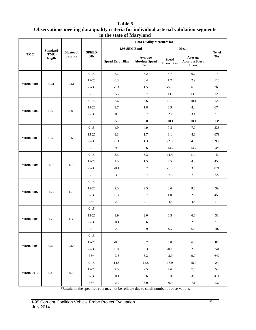#### **Table 5 Observations meeting data quality criteria for individual arterial validation segments in the state of Maryland**

|                  | <b>Standard</b><br><b>TMC</b><br>length | <b>Bluetooth</b><br>distance | <b>SPEED</b><br><b>BIN</b> | <b>Data Quality Measures for</b> |                                                  |                                   |                                                  |                |
|------------------|-----------------------------------------|------------------------------|----------------------------|----------------------------------|--------------------------------------------------|-----------------------------------|--------------------------------------------------|----------------|
| TMC              |                                         |                              |                            | 1.96 SEM Band                    |                                                  | Mean                              |                                                  |                |
|                  |                                         |                              |                            | <b>Speed Error Bias</b>          | Average<br><b>Absolute Speed</b><br><b>Error</b> | <b>Speed</b><br><b>Error Bias</b> | Average<br><b>Absolute Speed</b><br><b>Error</b> | No. of<br>Obs. |
|                  |                                         |                              | $0 - 15$                   | 5.2                              | 5.2                                              | 6.7                               | 6.7                                              | $1\ast$        |
|                  |                                         |                              | $15 - 25$                  | 0.3                              | 0.4                                              | 1.2                               | 2.9                                              | 115            |
| MD08-0001        | 0.61                                    | 0.61                         | $25 - 35$                  | $-1.4$                           | 1.5                                              | $-5.9$                            | 6.3                                              | 363            |
|                  |                                         |                              | $35+$                      | $-5.7$                           | 5.7                                              | $-13.9$                           | 13.9                                             | 126            |
|                  |                                         |                              | $0 - 15$                   | 5.6                              | 5.6                                              | 10.1                              | 10.1                                             | 122            |
|                  |                                         |                              | $15 - 25$                  | 1.7                              | 1.8                                              | 3.9                               | 4.4                                              | 674            |
| MD08-0002        | 0.86                                    | 0.83                         | $25 - 35$                  | $-0.6$                           | $0.7\,$                                          | $-2.1$                            | 3.1                                              | 210            |
|                  |                                         |                              | $35+$                      | $-5.0$                           | 5.0                                              | $-10.1$                           | 10.1                                             | $13*$          |
|                  |                                         |                              | $0 - 15$                   | 4.9                              | 4.9                                              | 7.8                               | 7.9                                              | 338            |
|                  |                                         | 0.63                         | $15 - 25$                  | 1.3                              | 1.7                                              | 3.1                               | 4.8                                              | 679            |
| MD08-0003        | 0.62                                    |                              | 25-35                      | $-1.1$                           | 1.3                                              | $-2.5$                            | 4.9                                              | 93             |
|                  |                                         |                              | $35+$                      | $-9.6$                           | 9.6                                              | $-14.7$                           | 14.7                                             | $4*$           |
|                  | 1.13                                    | 1.16                         | $0 - 15$                   | 5.3                              | 5.3                                              | 11.4                              | 11.4                                             | 42             |
| MD08-0004        |                                         |                              | $15 - 25$                  | 1.5                              | 1.5                                              | 4.5                               | 4.8                                              | 458            |
|                  |                                         |                              | 25-35                      | $-0.1$                           | $0.7\,$                                          | $-1.3$                            | 3.6                                              | 871            |
|                  |                                         |                              | $35+$                      | $-3.6$                           | 3.7                                              | $-7.5$                            | 7.9                                              | 222            |
|                  | 1.77                                    | 1.78                         | $0 - 15$                   | $\overline{\phantom{a}}$         | $\overline{\phantom{a}}$                         | $\blacksquare$                    | $\overline{\phantom{a}}$                         | $\blacksquare$ |
| MD08-0007        |                                         |                              | $15 - 25$                  | 2.5                              | 2.5                                              | 8.6                               | 8.6                                              | 39             |
|                  |                                         |                              | $25 - 35$                  | 0.3                              | 0.7                                              | 1.0                               | 2.8                                              | 453            |
|                  |                                         |                              | $35+$                      | $-2.0$                           | 2.1                                              | $-4.5$                            | 4.8                                              | 110            |
|                  | 1.29                                    | 1.33                         | $0 - 15$                   | $\sim$                           | $\mathcal{L}_{\mathcal{A}}$                      | $\overline{\phantom{a}}$          | $\sim$                                           | $\blacksquare$ |
|                  |                                         |                              | $15 - 25$                  | 1.9                              | 2.0                                              | 6.3                               | 6.6                                              | 33             |
| <b>MD08-0008</b> |                                         |                              | $25 - 35$                  | $-0.1$                           | 0.6                                              | 0.1                               | 2.9                                              | 213            |
|                  |                                         |                              | $35+$                      | $-2.9$                           | 2.9                                              | $-6.7$                            | 6.8                                              | 107            |
|                  | 0.64                                    | 0.64                         | $0 - 15$                   | $\sim$                           | $\sigma_{\rm{eff}}$                              | $\sim$                            | $\sim$                                           | $\sim$         |
| MD08-0009        |                                         |                              | 15-25                      | $-0.5$                           | $0.7\,$                                          | 5.0                               | 6.8                                              | $8*$           |
|                  |                                         |                              | $25 - 35$                  | $0.0\,$                          | 0.3                                              | $-0.1$                            | 2.8                                              | 241            |
|                  |                                         |                              | $35+$                      | $-3.3$                           | 3.3                                              | $-8.9$                            | 9.0                                              | 642            |
| MD08-0010        | 0.49                                    | $0.5\,$                      | $0 - 15$                   | 14.8                             | 14.8                                             | 18.9                              | 18.9                                             | $2*$           |
|                  |                                         |                              | $15 - 25$                  | $2.5\,$                          | 2.5                                              | 7.6                               | 7.6                                              | 53             |
|                  |                                         |                              | $25 - 35$                  | $-0.1$                           | 0.6                                              | 0.3                               | 3.0                                              | 411            |
|                  |                                         |                              | $35+$                      | $-2.9$                           | $3.0\,$                                          | $-6.9$                            | $7.1\,$                                          | 137            |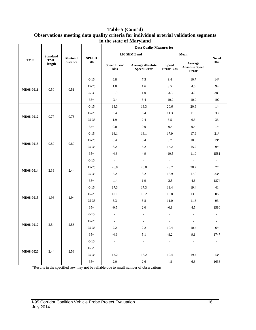|            | <b>Standard</b><br><b>TMC</b><br>length | <b>Bluetooth</b><br>distance | <b>SPEED</b><br><b>BIN</b> | <b>Data Quality Measures for</b>  |                                               |                                   |                                                  |                          |
|------------|-----------------------------------------|------------------------------|----------------------------|-----------------------------------|-----------------------------------------------|-----------------------------------|--------------------------------------------------|--------------------------|
| <b>TMC</b> |                                         |                              |                            | 1.96 SEM Band                     |                                               | Mean                              |                                                  |                          |
|            |                                         |                              |                            | <b>Speed Error</b><br><b>Bias</b> | <b>Average Absolute</b><br><b>Speed Error</b> | <b>Speed</b><br><b>Error Bias</b> | Average<br><b>Absolute Speed</b><br><b>Error</b> | No. of<br>Obs.           |
|            |                                         |                              | $0 - 15$                   | 6.8                               | 7.5                                           | 9.4                               | 10.7                                             | $14*$                    |
|            |                                         | 0.51                         | $15 - 25$                  | 1.0                               | 1.6                                           | 3.5                               | 4.6                                              | 94                       |
| MD08-0011  | 0.50                                    |                              | $25 - 35$                  | $-1.0$                            | 1.0                                           | $-3.3$                            | 4.0                                              | 383                      |
|            |                                         |                              | $35+$                      | $-3.4$                            | 3.4                                           | $-10.9$                           | 10.9                                             | 107                      |
|            |                                         |                              | $0 - 15$                   | 13.3                              | 13.3                                          | 20.6                              | 20.6                                             | $1*$                     |
|            |                                         | 0.76                         | $15 - 25$                  | 5.4                               | 5.4                                           | 11.3                              | 11.3                                             | 33                       |
| MD08-0012  | 0.77                                    |                              | 25-35                      | 1.9                               | 2.4                                           | 5.5                               | 6.3                                              | 35                       |
|            |                                         |                              | $35+$                      | 0.0                               | 0.0                                           | $-0.4$                            | 0.4                                              | $1*$                     |
|            | 0.89                                    | 0.89                         | $0 - 15$                   | 16.1                              | 16.1                                          | 17.9                              | 17.9                                             | $21*$                    |
|            |                                         |                              | $15 - 25$                  | 8.4                               | 8.4                                           | 9.7                               | 10.9                                             | $19*$                    |
| MD08-0013  |                                         |                              | $25 - 35$                  | 6.2                               | 6.2                                           | 15.2                              | 15.2                                             | $9*$                     |
|            |                                         |                              | $35+$                      | $-4.8$                            | 4.9                                           | $-10.5$                           | 11.0                                             | 1581                     |
|            | 2.39                                    | 2.44                         | $0 - 15$                   | $\mathbb{Z}^2$                    | $\omega$                                      | $\mathcal{L}^{\pm}$               | $\omega$                                         | $\blacksquare$           |
|            |                                         |                              | 15-25                      | 26.8                              | 26.8                                          | 28.7                              | 28.7                                             | $2*$                     |
| MD08-0014  |                                         |                              | $25 - 35$                  | 3.2                               | 3.2                                           | 16.9                              | 17.0                                             | $23*$                    |
|            |                                         |                              | $35+$                      | $-1.4$                            | 1.9                                           | $-2.5$                            | 4.6                                              | 1874                     |
|            | 1.98                                    | 1.94                         | $0 - 15$                   | 17.3                              | 17.3                                          | 19.4                              | 19.4                                             | 41                       |
|            |                                         |                              | $15 - 25$                  | 10.1                              | 10.2                                          | 13.8                              | 13.9                                             | 86                       |
| MD08-0015  |                                         |                              | $25 - 35$                  | 5.3                               | 5.8                                           | 11.0                              | 11.8                                             | 93                       |
|            |                                         |                              | $35+$                      | $-0.5$                            | 2.0                                           | $-0.8$                            | 4.5                                              | 1580                     |
|            | 2.54                                    | 2.58                         | $0 - 15$                   | $\overline{\phantom{a}}$          | $\overline{\phantom{a}}$                      | $\overline{\phantom{a}}$          | $\bar{\phantom{a}}$                              | ÷.                       |
|            |                                         |                              | 15-25                      | $\overline{\phantom{a}}$          | $\overline{a}$                                | $\overline{a}$                    | $\sim$                                           |                          |
| MD08-0017  |                                         |                              | 25-35                      | 2.2                               | 2.2                                           | 10.4                              | 10.4                                             | $6*$                     |
|            |                                         |                              | $35+$                      | $-4.9$                            | 5.1                                           | $-8.2$                            | 9.1                                              | 1747                     |
|            | 2.44                                    | 2.58                         | $0 - 15$                   | $\overline{\phantom{a}}$          | $\mathcal{L}_{\mathcal{A}}$                   | $\Box$                            | $\blacksquare$                                   | $\overline{\phantom{a}}$ |
| MD08-0020  |                                         |                              | 15-25                      | $\overline{\phantom{a}}$          | $\overline{\phantom{a}}$                      | $\overline{\phantom{a}}$          | $\blacksquare$                                   | $\overline{\phantom{a}}$ |
|            |                                         |                              | $25 - 35$                  | 13.2                              | 13.2                                          | 19.4                              | 19.4                                             | $13*$                    |
|            |                                         |                              | $35+$                      | $2.0\,$                           | $2.6\,$                                       | $4.8\,$                           | 6.8                                              | 1638                     |

#### **Table 5 (Cont'd) Observations meeting data quality criteria for individual arterial validation segments in the state of Maryland**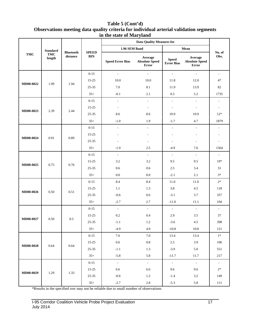#### **Table 5 (Cont'd) Observations meeting data quality criteria for individual arterial validation segments in the state of Maryland**

|                  | <b>Standard</b><br><b>TMC</b><br>length | <b>Bluetooth</b><br>distance | <b>SPEED</b><br><b>BIN</b> | <b>Data Quality Measures for</b> |                                           |                                   |                                                  |                             |
|------------------|-----------------------------------------|------------------------------|----------------------------|----------------------------------|-------------------------------------------|-----------------------------------|--------------------------------------------------|-----------------------------|
| TMC              |                                         |                              |                            | 1.96 SEM Band                    |                                           | Mean                              |                                                  |                             |
|                  |                                         |                              |                            | <b>Speed Error Bias</b>          | Average<br><b>Absolute Speed</b><br>Error | <b>Speed</b><br><b>Error Bias</b> | Average<br><b>Absolute Speed</b><br><b>Error</b> | No. of<br>Obs.              |
|                  |                                         |                              | $0 - 15$                   | $\sim$                           | $\mathcal{L}_{\mathcal{A}}$               | $\mathbb{L}$                      | $\mathcal{L}_{\mathcal{A}}$                      | $\overline{\phantom{a}}$    |
|                  |                                         |                              | $15 - 25$                  | 10.0                             | 10.0                                      | 11.8                              | 12.0                                             | 47                          |
| MD08-0022        | 1.99                                    | 1.94                         | $25 - 35$                  | 7.0                              | 8.1                                       | 11.9                              | 13.9                                             | 82                          |
|                  |                                         |                              | $35+$                      | $-0.1$                           | 2.1                                       | 0.3                               | 5.2                                              | 1735                        |
|                  |                                         |                              | $0 - 15$                   | $\overline{\phantom{a}}$         | $\overline{\phantom{a}}$                  | $\overline{\phantom{a}}$          | ÷.                                               | $\overline{\phantom{a}}$    |
|                  |                                         |                              | $15 - 25$                  | $\overline{\phantom{a}}$         | $\mathcal{L}_{\mathcal{A}}$               | $\overline{\phantom{a}}$          | $\overline{\phantom{a}}$                         | $\overline{\phantom{a}}$    |
| MD08-0023        | 2.39                                    | 2.44                         | $25 - 35$                  | 8.6                              | 8.6                                       | 10.9                              | 10.9                                             | $12*$                       |
|                  |                                         |                              | $35+$                      | $-1.0$                           | 1.9                                       | $-1.7$                            | 4.7                                              | 1879                        |
|                  |                                         | 0.89                         | $0 - 15$                   | $\overline{\phantom{a}}$         | $\overline{\phantom{a}}$                  | $\overline{\phantom{a}}$          | $\overline{\phantom{a}}$                         | L,                          |
|                  |                                         |                              | $15 - 25$                  |                                  |                                           |                                   |                                                  |                             |
| MD08-0024        | 0.91                                    |                              | 25-35                      | $\overline{a}$                   | $\overline{\phantom{a}}$                  | ٠                                 | $\overline{\phantom{a}}$                         |                             |
|                  |                                         |                              | $35+$                      | $-1.9$                           | 2.5                                       | $-4.9$                            | 7.6                                              | 1564                        |
|                  | 0.75                                    | 0.76                         | $0 - 15$                   | $\mathbb{Z}^2$                   | $\omega$                                  | $\overline{a}$                    | $\omega$                                         | $\mathcal{L}$               |
|                  |                                         |                              | $15 - 25$                  | 3.2                              | 3.2                                       | 9.5                               | 9.5                                              | $19*$                       |
| MD08-0025        |                                         |                              | 25-35                      | 0.6                              | 0.6                                       | 2.5                               | 3.4                                              | 31                          |
|                  |                                         |                              | $35+$                      | 0.0                              | 0.0                                       | $-2.1$                            | 2.1                                              | $3*$                        |
|                  | 0.50                                    |                              | $0 - 15$                   | 8.4                              | 8.4                                       | 11.0                              | 11.0                                             | $2^\ast$                    |
|                  |                                         |                              | $15 - 25$                  | 1.1                              | 1.3                                       | 3.8                               | 4.5                                              | 118                         |
| <b>MD08-0026</b> |                                         | 0.51                         | 25-35                      | $-0.6$                           | 0.6                                       | $-3.1$                            | 3.7                                              | 357                         |
|                  |                                         |                              | $35+$                      | $-2.7$                           | 2.7                                       | $-11.0$                           | 11.1                                             | 104                         |
|                  | 0.50                                    | 0.5                          | $0 - 15$                   | $\sim$                           | $\sim$                                    | $\mathcal{L}_{\mathcal{A}}$       | $\sim$                                           | $\mathcal{L}_{\mathcal{A}}$ |
| MD08-0027        |                                         |                              | $15 - 25$                  | 0.2                              | 0.4                                       | 2.9                               | 3.5                                              | 37                          |
|                  |                                         |                              | 25-35                      | $-1.1$                           | 1.2                                       | $-3.6$                            | 4.5                                              | 398                         |
|                  |                                         |                              | $35+$                      | $-4.9$                           | 4.9                                       | $-10.8$                           | 10.8                                             | 121                         |
|                  | 0.64                                    | 0.64                         | $0 - 15$                   | 7.0                              | 7.0                                       | 13.4                              | 13.4                                             | $1^\ast$                    |
| MD08-0028        |                                         |                              | $15 - 25$                  | 0.6                              | $0.8\,$                                   | 2.5                               | 3.9                                              | 106                         |
|                  |                                         |                              | $25 - 35$                  | $\text{-}1.1$                    | 1.3                                       | $-3.9$                            | $5.0\,$                                          | 551                         |
|                  |                                         |                              | $35+$                      | $-5.8$                           | 5.8                                       | $-11.7$                           | 11.7                                             | $217\,$                     |
| MD08-0029        | 1.29                                    | 1.33                         | $0 - 15$                   | $\omega$                         | $\omega_{\rm c}$                          | $\omega$                          | $\overline{\phantom{a}}$                         | $\overline{\phantom{a}}$    |
|                  |                                         |                              | $15 - 25$                  | 6.6                              | 6.6                                       | 9.6                               | 9.6                                              | $2^\ast$                    |
|                  |                                         |                              | $25 - 35$                  | $-0.6$                           | 1.2                                       | $-1.4$                            | $3.2\,$                                          | 149                         |
|                  |                                         |                              | $35+$                      | $-2.7$                           | $2.8\,$                                   | $-5.3$                            | 5.8                                              | 111                         |